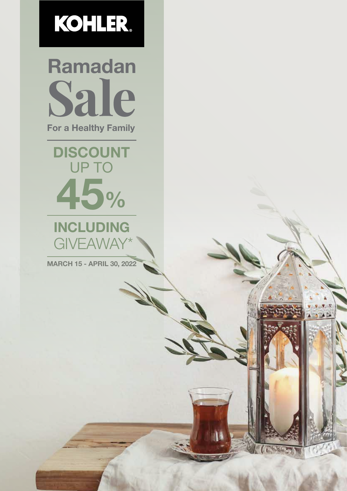

Ramadan Sale For a Healthy Family

## 45% DISCOUNT UP TO

### INCLUDING **GIVEAWAY**

MARCH 15 - APRIL 30, 2022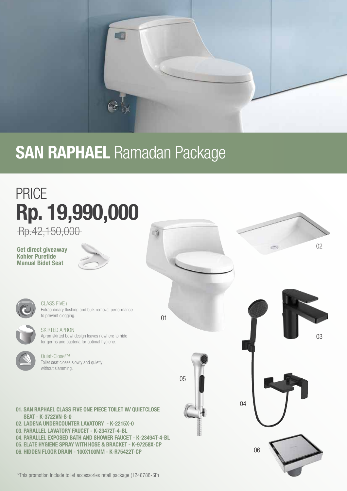

## **SAN RAPHAEL Ramadan Package**

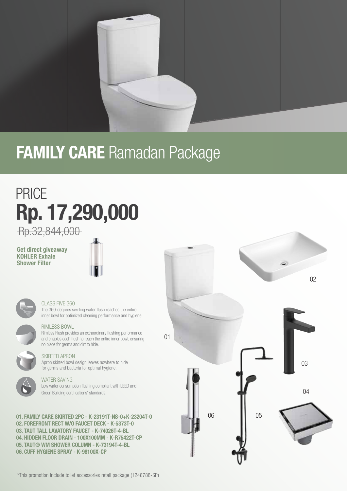

## **FAMILY CARE Ramadan Package**

## PRICE Rp. 17,290,000

Rp.32,844,000

### Get direct giveaway KOHLER Exhale Shower Filter





### CLASS FIVE 360

The 360-degrees swirling water flush reaches the entire inner bowl for optimized cleaning performance and hygiene.



### RIMLESS BOWL

Rimless Flush provides an extraordinary flushing performance and enables each flush to reach the entire inner bowl, ensuring no place for germs and dirt to hide.

### SKIRTED APRON

Apron skirted bowl design leaves nowhere to hide for germs and bacteria for optimal hygiene.

### WATER SAVING

Low water consumption flushing compliant with LEED and Green Building certifications' standards.

01. FAMILY CARE SKIRTED 2PC - K-23191T-NS-0+K-23204T-0 02. FOREFRONT RECT W/O FAUCET DECK - K-5373T-0 03. TAUT TALL LAVATORY FAUCET - K-74026T-4-BL 04. HIDDEN FLOOR DRAIN - 100X100MM - K-R75422T-CP 05. TAUT® WM SHOWER COLUMN - K-73194T-4-BL 06. CUFF HYGIENE SPRAY - K-98100X-CP

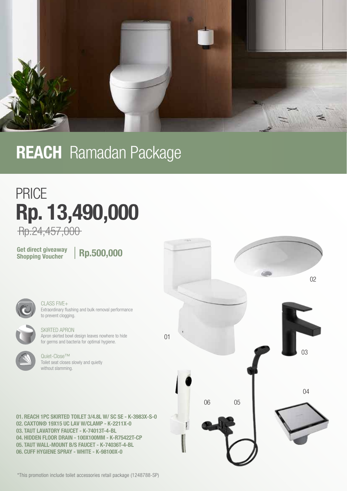

## **REACH** Ramadan Package

## PRICE Rp. 13,490,000

Rp.24,457,000

Get direct giveaway<br>Shopping Voucher

Rp.500,000



CLASS FIVE+ Extraordinary flushing and bulk removal performance to prevent clogging.

### SKIRTED APRON

Apron skirted bowl design leaves nowhere to hide for germs and bacteria for optimal hygiene.



Quiet-Close™ Toilet seat closes slowly and quietly without slamming.

01. REACH 1PC SKIRTED TOILET 3/4.8L W/ SC SE - K-3983X-S-0 02. CAXTON® 19X15 UC LAV W/CLAMP - K-2211X-0 03. TAUT LAVATORY FAUCET - K-74013T-4-BL 04. HIDDEN FLOOR DRAIN - 100X100MM - K-R75422T-CP 05. TAUT WALL-MOUNT B/S FAUCET - K-74036T-4-BL 06. CUFF HYGIENE SPRAY - WHITE - K-98100X-0